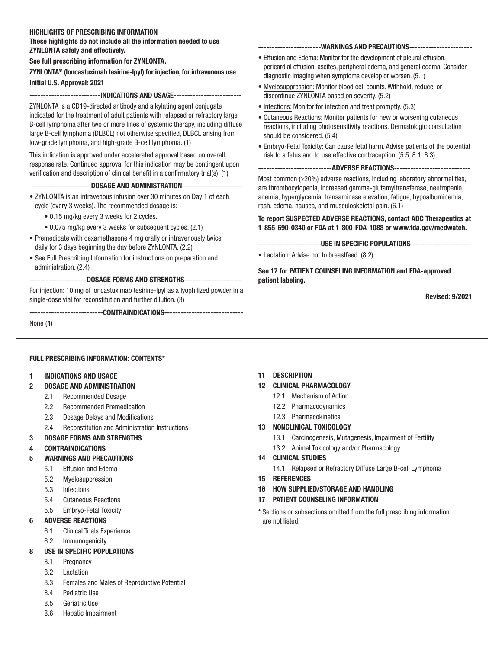#### HIGHLIGHTS OF PRESCRIBING INFORMATION

These highlights do not include all the information needed to use ZYNLONTA safely and effectively.

See full prescribing information for ZYNLONTA.

#### ZYNLONTA® (loncastuximab tesirine-lpyl) for injection, for intravenous use Initial U.S. Approval: 2021

--------------------------INDICATIONS AND USAGE-------------------------

ZYNLONTA is a CD19-directed antibody and alkylating agent conjugate indicated for the treatment of adult patients with relapsed or refractory large B-cell lymphoma after two or more lines of systemic therapy, including diffuse large B-cell lymphoma (DLBCL) not otherwise specified, DLBCL arising from low-grade lymphoma, and high-grade B-cell lymphoma. (1)

This indication is approved under accelerated approval based on overall response rate. Continued approval for this indication may be contingent upon verification and description of clinical benefit in a confirmatory trial(s). (1)

#### ---------------------- DOSAGE AND ADMINISTRATION----------------------

• ZYNLONTA is an intravenous infusion over 30 minutes on Day 1 of each cycle (every 3 weeks). The recommended dosage is:

- 0.15 mg/kg every 3 weeks for 2 cycles.
- 0.075 mg/kg every 3 weeks for subsequent cycles. (2.1)
- Premedicate with dexamethasone 4 mg orally or intravenously twice daily for 3 days beginning the day before ZYNLONTA. (2.2)
- See Full Prescribing Information for instructions on preparation and administration. (2.4)

---------------------DOSAGE FORMS AND STRENGTHS--------------------- For injection: 10 mg of loncastuximab tesirine-lpyl as a lyophilized powder in a single-dose vial for reconstitution and further dilution. (3)

---------------------CONTRAINDICATIONS-----------------------------

None (4)

#### FULL PRESCRIBING INFORMATION: CONTENTS\*

#### 1 INDICATIONS AND USAGE

- 2 DOSAGE AND ADMINISTRATION
	- 2.1 Recommended Dosage
	- 2.2 Recommended Premedication
	- 2.3 Dosage Delays and Modifications
	- 2.4 Reconstitution and Administration Instructions

#### 3 DOSAGE FORMS AND STRENGTHS

- 4 CONTRAINDICATIONS
- 5 WARNINGS AND PRECAUTIONS
	- 5.1 Effusion and Edema
	- 5.2 Myelosuppression
	- 5.3 Infections
	- 5.4 Cutaneous Reactions
	- 5.5 Embryo-Fetal Toxicity

#### 6 ADVERSE REACTIONS

- 6.1 Clinical Trials Experience
- 6.2 Immunogenicity

#### 8 USE IN SPECIFIC POPULATIONS

- 8.1 Pregnancy
- 8.2 Lactation
- 8.3 Females and Males of Reproductive Potential
- 8.4 Pediatric Use
- 8.5 Geriatric Use
- 8.6 Hepatic Impairment

## 11 DESCRIPTION

- 12 CLINICAL PHARMACOLOGY
	- 12.1 Mechanism of Action
	- 12.2 Pharmacodynamics
	- 12.3 Pharmacokinetics

#### 13 NONCLINICAL TOXICOLOGY

- 13.1 Carcinogenesis, Mutagenesis, Impairment of Fertility
- 13.2 Animal Toxicology and/or Pharmacology
- 14 CLINICAL STUDIES
	- 14.1 Relapsed or Refractory Diffuse Large B-cell Lymphoma
- 15 REFERENCES
- 16 HOW SUPPLIED/STORAGE AND HANDLING
- 17 PATIENT COUNSELING INFORMATION
- \* Sections or subsections omitted from the full prescribing information are not listed.

-----------------------WARNINGS AND PRECAUTIONS-----------------------

- Effusion and Edema: Monitor for the development of pleural effusion, pericardial effusion, ascites, peripheral edema, and general edema. Consider diagnostic imaging when symptoms develop or worsen. (5.1)
- Myelosuppression: Monitor blood cell counts. Withhold, reduce, or discontinue ZYNLONTA based on severity. (5.2)
- Infections: Monitor for infection and treat promptly. (5.3)
- Cutaneous Reactions: Monitor patients for new or worsening cutaneous reactions, including photosensitivity reactions. Dermatologic consultation should be considered. (5.4)
- Embryo-Fetal Toxicity: Can cause fetal harm. Advise patients of the potential risk to a fetus and to use effective contraception. (5.5, 8.1, 8.3)

---------------------------ADVERSE REACTIONS----------------------------

Most common (≥20%) adverse reactions, including laboratory abnormalities, are thrombocytopenia, increased gamma-glutamyltransferase, neutropenia, anemia, hyperglycemia, transaminase elevation, fatigue, hypoalbuminemia, rash, edema, nausea, and musculoskeletal pain. (6.1)

To report SUSPECTED ADVERSE REACTIONS, contact ADC Therapeutics at 1-855-690-0340 or FDA at 1-800-FDA-1088 or www.fda.gov/medwatch.

--------------------USE IN SPECIFIC POPULATIONS-----------------------

• Lactation: Advise not to breastfeed. (8.2)

See 17 for PATIENT COUNSELING INFORMATION and FDA-approved patient labeling.

Revised: 9/2021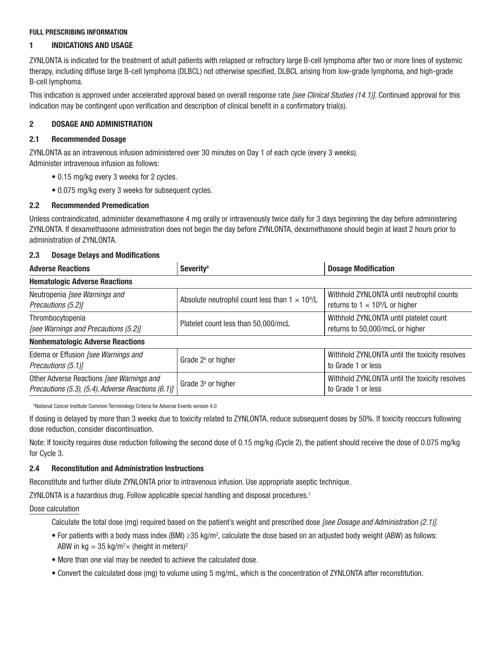#### FULL PRESCRIBING INFORMATION

# 1 INDICATIONS AND USAGE

ZYNLONTA is indicated for the treatment of adult patients with relapsed or refractory large B-cell lymphoma after two or more lines of systemic therapy, including diffuse large B-cell lymphoma (DLBCL) not otherwise specified, DLBCL arising from low-grade lymphoma, and high-grade B-cell lymphoma.

This indication is approved under accelerated approval based on overall response rate *[see Clinical Studies (14.1)]*. Continued approval for this indication may be contingent upon verification and description of clinical benefit in a confirmatory trial(s).

# 2 DOSAGE AND ADMINISTRATION

# 2.1 Recommended Dosage

ZYNLONTA as an intravenous infusion administered over 30 minutes on Day 1 of each cycle (every 3 weeks). Administer intravenous infusion as follows:

- 0.15 mg/kg every 3 weeks for 2 cycles.
- 0.075 mg/kg every 3 weeks for subsequent cycles.

# 2.2 Recommended Premedication

Unless contraindicated, administer dexamethasone 4 mg orally or intravenously twice daily for 3 days beginning the day before administering ZYNLONTA. If dexamethasone administration does not begin the day before ZYNLONTA, dexamethasone should begin at least 2 hours prior to administration of ZYNLONTA.

# 2.3 Dosage Delays and Modifications

| <b>Adverse Reactions</b>                                                                        | <b>Severity<sup>a</sup></b>                            | <b>Dosage Modification</b>                                                           |  |
|-------------------------------------------------------------------------------------------------|--------------------------------------------------------|--------------------------------------------------------------------------------------|--|
| <b>Hematologic Adverse Reactions</b>                                                            |                                                        |                                                                                      |  |
| Neutropenia [see Warnings and<br>Precautions (5.2)]                                             | Absolute neutrophil count less than $1 \times 10^9$ /L | Withhold ZYNLONTA until neutrophil counts<br>returns to $1 \times 10^9$ /L or higher |  |
| Thrombocytopenia<br>[see Warnings and Precautions (5.2)]                                        | Platelet count less than 50,000/mcL                    | Withhold ZYNLONTA until platelet count<br>returns to 50,000/mcL or higher            |  |
| <b>Nonhematologic Adverse Reactions</b>                                                         |                                                        |                                                                                      |  |
| Edema or Effusion [see Warnings and<br>Precautions (5.1)]                                       | Grade $2^a$ or higher                                  | Withhold ZYNLONTA until the toxicity resolves<br>to Grade 1 or less                  |  |
| Other Adverse Reactions [see Warnings and<br>Precautions (5.3), (5.4), Adverse Reactions (6.1)] | Grade $3a$ or higher                                   | Withhold ZYNLONTA until the toxicity resolves<br>to Grade 1 or less                  |  |

a National Cancer Institute Common Terminology Criteria for Adverse Events version 4.0

If dosing is delayed by more than 3 weeks due to toxicity related to ZYNLONTA, reduce subsequent doses by 50%. If toxicity reoccurs following dose reduction, consider discontinuation.

Note: If toxicity requires dose reduction following the second dose of 0.15 mg/kg (Cycle 2), the patient should receive the dose of 0.075 mg/kg for Cycle 3.

### 2.4 Reconstitution and Administration Instructions

Reconstitute and further dilute ZYNLONTA prior to intravenous infusion. Use appropriate aseptic technique.

ZYNLONTA is a hazardous drug. Follow applicable special handling and disposal procedures.<sup>1</sup>

Dose calculation

Calculate the total dose (mg) required based on the patient's weight and prescribed dose *[see Dosage and Administration (2.1)]*.

- For patients with a body mass index (BMI) ≥35 kg/m2 , calculate the dose based on an adjusted body weight (ABW) as follows: ABW in kg = 35 kg/m<sup>2</sup> $\times$  (height in meters)<sup>2</sup>
- More than one vial may be needed to achieve the calculated dose.
- Convert the calculated dose (mg) to volume using 5 mg/mL, which is the concentration of ZYNLONTA after reconstitution.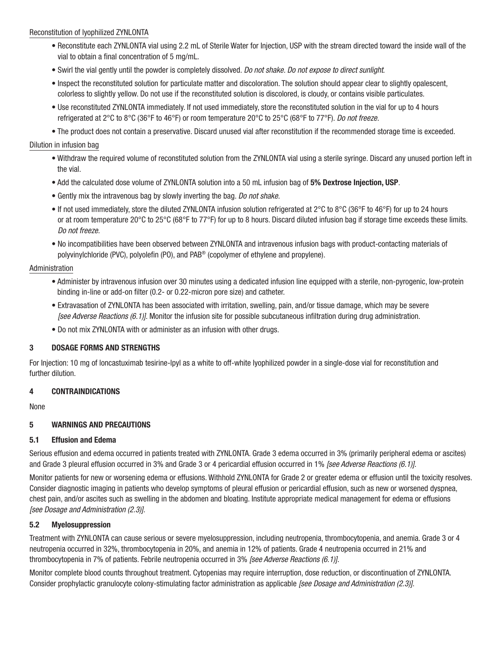#### Reconstitution of lyophilized ZYNLONTA

- Reconstitute each ZYNLONTA vial using 2.2 mL of Sterile Water for Injection, USP with the stream directed toward the inside wall of the vial to obtain a final concentration of 5 mg/mL.
- Swirl the vial gently until the powder is completely dissolved. *Do not shake. Do not expose to direct sunlight*.
- Inspect the reconstituted solution for particulate matter and discoloration. The solution should appear clear to slightly opalescent, colorless to slightly yellow. Do not use if the reconstituted solution is discolored, is cloudy, or contains visible particulates.
- Use reconstituted ZYNLONTA immediately. If not used immediately, store the reconstituted solution in the vial for up to 4 hours refrigerated at 2°C to 8°C (36°F to 46°F) or room temperature 20°C to 25°C (68°F to 77°F). *Do not freeze.*
- The product does not contain a preservative. Discard unused vial after reconstitution if the recommended storage time is exceeded.

#### Dilution in infusion bag

- Withdraw the required volume of reconstituted solution from the ZYNLONTA vial using a sterile syringe. Discard any unused portion left in the vial.
- Add the calculated dose volume of ZYNLONTA solution into a 50 mL infusion bag of 5% Dextrose Injection, USP.
- Gently mix the intravenous bag by slowly inverting the bag. *Do not shake*.
- If not used immediately, store the diluted ZYNLONTA infusion solution refrigerated at 2°C to 8°C (36°F to 46°F) for up to 24 hours or at room temperature 20°C to 25°C (68°F to 77°F) for up to 8 hours. Discard diluted infusion bag if storage time exceeds these limits. *Do not freeze*.
- No incompatibilities have been observed between ZYNLONTA and intravenous infusion bags with product-contacting materials of polyvinylchloride (PVC), polyolefin (PO), and PAB® (copolymer of ethylene and propylene).

#### Administration

- Administer by intravenous infusion over 30 minutes using a dedicated infusion line equipped with a sterile, non-pyrogenic, low-protein binding in-line or add-on filter (0.2- or 0.22-micron pore size) and catheter.
- Extravasation of ZYNLONTA has been associated with irritation, swelling, pain, and/or tissue damage, which may be severe *[see Adverse Reactions (6.1)]*. Monitor the infusion site for possible subcutaneous infiltration during drug administration.
- Do not mix ZYNLONTA with or administer as an infusion with other drugs.

#### 3 DOSAGE FORMS AND STRENGTHS

For Injection: 10 mg of loncastuximab tesirine-lpyl as a white to off-white lyophilized powder in a single-dose vial for reconstitution and further dilution.

#### 4 CONTRAINDICATIONS

None

### 5 WARNINGS AND PRECAUTIONS

#### 5.1 Effusion and Edema

Serious effusion and edema occurred in patients treated with ZYNLONTA. Grade 3 edema occurred in 3% (primarily peripheral edema or ascites) and Grade 3 pleural effusion occurred in 3% and Grade 3 or 4 pericardial effusion occurred in 1% *[see Adverse Reactions (6.1)]*.

Monitor patients for new or worsening edema or effusions. Withhold ZYNLONTA for Grade 2 or greater edema or effusion until the toxicity resolves. Consider diagnostic imaging in patients who develop symptoms of pleural effusion or pericardial effusion, such as new or worsened dyspnea, chest pain, and/or ascites such as swelling in the abdomen and bloating. Institute appropriate medical management for edema or effusions *[see Dosage and Administration (2.3)]*.

### 5.2 Myelosuppression

Treatment with ZYNLONTA can cause serious or severe myelosuppression, including neutropenia, thrombocytopenia, and anemia. Grade 3 or 4 neutropenia occurred in 32%, thrombocytopenia in 20%, and anemia in 12% of patients. Grade 4 neutropenia occurred in 21% and thrombocytopenia in 7% of patients. Febrile neutropenia occurred in 3% *[see Adverse Reactions (6.1)]*.

Monitor complete blood counts throughout treatment. Cytopenias may require interruption, dose reduction, or discontinuation of ZYNLONTA. Consider prophylactic granulocyte colony-stimulating factor administration as applicable *[see Dosage and Administration (2.3)]*.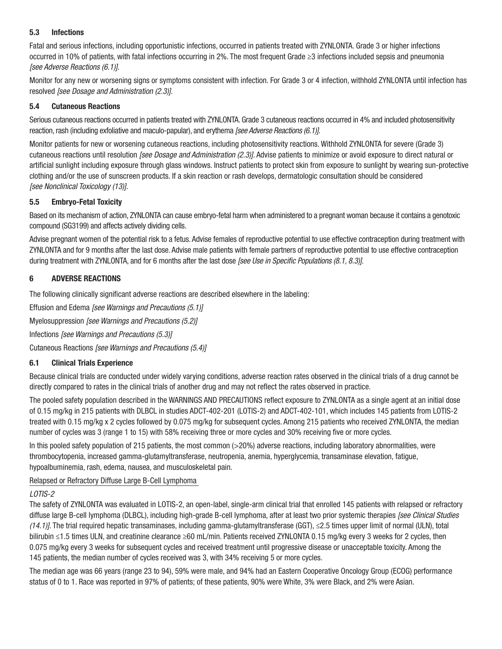### 5.3 Infections

Fatal and serious infections, including opportunistic infections, occurred in patients treated with ZYNLONTA. Grade 3 or higher infections occurred in 10% of patients, with fatal infections occurring in 2%. The most frequent Grade ≥3 infections included sepsis and pneumonia *[see Adverse Reactions (6.1)]*.

Monitor for any new or worsening signs or symptoms consistent with infection. For Grade 3 or 4 infection, withhold ZYNLONTA until infection has resolved *[see Dosage and Administration (2.3)]*.

### 5.4 Cutaneous Reactions

Serious cutaneous reactions occurred in patients treated with ZYNLONTA. Grade 3 cutaneous reactions occurred in 4% and included photosensitivity reaction, rash (including exfoliative and maculo-papular), and erythema *[see Adverse Reactions (6.1)]*.

Monitor patients for new or worsening cutaneous reactions, including photosensitivity reactions. Withhold ZYNLONTA for severe (Grade 3) cutaneous reactions until resolution *[see Dosage and Administration (2.3)]*. Advise patients to minimize or avoid exposure to direct natural or artificial sunlight including exposure through glass windows. Instruct patients to protect skin from exposure to sunlight by wearing sun-protective clothing and/or the use of sunscreen products. If a skin reaction or rash develops, dermatologic consultation should be considered *[see Nonclinical Toxicology (13)]*.

## 5.5 Embryo-Fetal Toxicity

Based on its mechanism of action, ZYNLONTA can cause embryo-fetal harm when administered to a pregnant woman because it contains a genotoxic compound (SG3199) and affects actively dividing cells.

Advise pregnant women of the potential risk to a fetus. Advise females of reproductive potential to use effective contraception during treatment with ZYNLONTA and for 9 months after the last dose. Advise male patients with female partners of reproductive potential to use effective contraception during treatment with ZYNLONTA, and for 6 months after the last dose *[see Use in Specific Populations (8.1, 8.3)]*.

## 6 ADVERSE REACTIONS

The following clinically significant adverse reactions are described elsewhere in the labeling:

Effusion and Edema *[see Warnings and Precautions (5.1)]*

Myelosuppression *[see Warnings and Precautions (5.2)]*

Infections *[see Warnings and Precautions (5.3)]*

Cutaneous Reactions *[see Warnings and Precautions (5.4)]*

## 6.1 Clinical Trials Experience

Because clinical trials are conducted under widely varying conditions, adverse reaction rates observed in the clinical trials of a drug cannot be directly compared to rates in the clinical trials of another drug and may not reflect the rates observed in practice.

The pooled safety population described in the WARNINGS AND PRECAUTIONS reflect exposure to ZYNLONTA as a single agent at an initial dose of 0.15 mg/kg in 215 patients with DLBCL in studies ADCT-402-201 (LOTIS-2) and ADCT-402-101, which includes 145 patients from LOTIS-2 treated with 0.15 mg/kg x 2 cycles followed by 0.075 mg/kg for subsequent cycles. Among 215 patients who received ZYNLONTA, the median number of cycles was 3 (range 1 to 15) with 58% receiving three or more cycles and 30% receiving five or more cycles.

In this pooled safety population of 215 patients, the most common (>20%) adverse reactions, including laboratory abnormalities, were thrombocytopenia, increased gamma-glutamyltransferase, neutropenia, anemia, hyperglycemia, transaminase elevation, fatigue, hypoalbuminemia, rash, edema, nausea, and musculoskeletal pain.

Relapsed or Refractory Diffuse Large B-Cell Lymphoma

### *LOTIS-2*

The safety of ZYNLONTA was evaluated in LOTIS-2, an open-label, single-arm clinical trial that enrolled 145 patients with relapsed or refractory diffuse large B-cell lymphoma (DLBCL), including high-grade B-cell lymphoma, after at least two prior systemic therapies *[see Clinical Studies (14.1)]*. The trial required hepatic transaminases, including gamma-glutamyltransferase (GGT), ≤2.5 times upper limit of normal (ULN), total bilirubin ≤1.5 times ULN, and creatinine clearance ≥60 mL/min. Patients received ZYNLONTA 0.15 mg/kg every 3 weeks for 2 cycles, then 0.075 mg/kg every 3 weeks for subsequent cycles and received treatment until progressive disease or unacceptable toxicity. Among the 145 patients, the median number of cycles received was 3, with 34% receiving 5 or more cycles.

The median age was 66 years (range 23 to 94), 59% were male, and 94% had an Eastern Cooperative Oncology Group (ECOG) performance status of 0 to 1. Race was reported in 97% of patients; of these patients, 90% were White, 3% were Black, and 2% were Asian.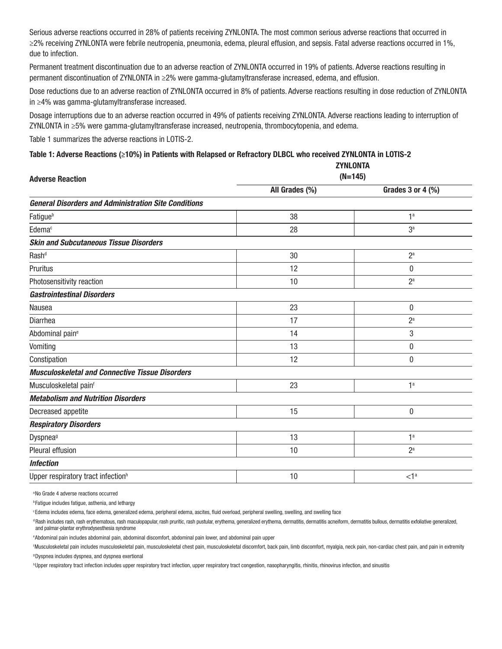Serious adverse reactions occurred in 28% of patients receiving ZYNLONTA. The most common serious adverse reactions that occurred in ≥2% receiving ZYNLONTA were febrile neutropenia, pneumonia, edema, pleural effusion, and sepsis. Fatal adverse reactions occurred in 1%, due to infection.

Permanent treatment discontinuation due to an adverse reaction of ZYNLONTA occurred in 19% of patients. Adverse reactions resulting in permanent discontinuation of ZYNLONTA in ≥2% were gamma-glutamyltransferase increased, edema, and effusion.

Dose reductions due to an adverse reaction of ZYNLONTA occurred in 8% of patients. Adverse reactions resulting in dose reduction of ZYNLONTA in ≥4% was gamma-glutamyltransferase increased.

Dosage interruptions due to an adverse reaction occurred in 49% of patients receiving ZYNLONTA. Adverse reactions leading to interruption of ZYNLONTA in ≥5% were gamma-glutamyltransferase increased, neutropenia, thrombocytopenia, and edema.

Table 1 summarizes the adverse reactions in LOTIS-2.

#### Table 1: Adverse Reactions (≥10%) in Patients with Relapsed or Refractory DLBCL who received ZYNLONTA in LOTIS-2

|                                                             | <b>ZYNLONTA</b> |                       |  |  |
|-------------------------------------------------------------|-----------------|-----------------------|--|--|
| <b>Adverse Reaction</b>                                     |                 | $(N=145)$             |  |  |
|                                                             | All Grades (%)  | Grades $3$ or $4$ (%) |  |  |
| <b>General Disorders and Administration Site Conditions</b> |                 |                       |  |  |
| Fatigueb                                                    | 38              | 1 <sup>a</sup>        |  |  |
| Edema <sup>c</sup>                                          | 28              | 3 <sup>a</sup>        |  |  |
| <b>Skin and Subcutaneous Tissue Disorders</b>               |                 |                       |  |  |
| Rash <sup>d</sup>                                           | 30              | $2^a$                 |  |  |
| Pruritus                                                    | 12              | $\bf{0}$              |  |  |
| Photosensitivity reaction                                   | 10              | 2 <sup>a</sup>        |  |  |
| <b>Gastrointestinal Disorders</b>                           |                 |                       |  |  |
| Nausea                                                      | 23              | $\bf{0}$              |  |  |
| Diarrhea                                                    | 17              | $2^a$                 |  |  |
| Abdominal pain <sup>e</sup>                                 | 14              | 3                     |  |  |
| Vomiting                                                    | 13              | $\bf{0}$              |  |  |
| Constipation                                                | 12              | $\bf{0}$              |  |  |
| <b>Musculoskeletal and Connective Tissue Disorders</b>      |                 |                       |  |  |
| Musculoskeletal painf                                       | 23              | 1 <sup>a</sup>        |  |  |
| <b>Metabolism and Nutrition Disorders</b>                   |                 |                       |  |  |
| Decreased appetite                                          | 15              | $\pmb{0}$             |  |  |
| <b>Respiratory Disorders</b>                                |                 |                       |  |  |
| Dyspnea <sup>9</sup>                                        | 13              | 1 <sup>a</sup>        |  |  |
| Pleural effusion                                            | 10              | 2 <sup>a</sup>        |  |  |
| <b>Infection</b>                                            |                 |                       |  |  |
| Upper respiratory tract infection <sup>h</sup>              | 10              | < 1 <sup>a</sup>      |  |  |
|                                                             |                 |                       |  |  |

a No Grade 4 adverse reactions occurred

**PFatigue includes fatigue, asthenia, and lethargy** 

c Edema includes edema, face edema, generalized edema, peripheral edema, ascites, fluid overload, peripheral swelling, swelling, and swelling face

d Rash includes rash, rash erythematous, rash maculopapular, rash pruritic, rash pustular, erythema, generalized erythema, dermatitis, dermatitis acneiform, dermatitis bullous, dermatitis exfoliative generalized, and palmar-plantar erythrodysesthesia syndrome

e Abdominal pain includes abdominal pain, abdominal discomfort, abdominal pain lower, and abdominal pain upper

f Musculoskeletal pain includes musculoskeletal pain, musculoskeletal chest pain, musculoskeletal discomfort, back pain, limb discomfort, myalgia, neck pain, non-cardiac chest pain, and pain in extremity g Dyspnea includes dyspnea, and dyspnea exertional

<sup>h</sup>Upper respiratory tract infection includes upper respiratory tract infection, upper respiratory tract congestion, nasopharyngitis, rhinitis, rhinovirus infection, and sinusitis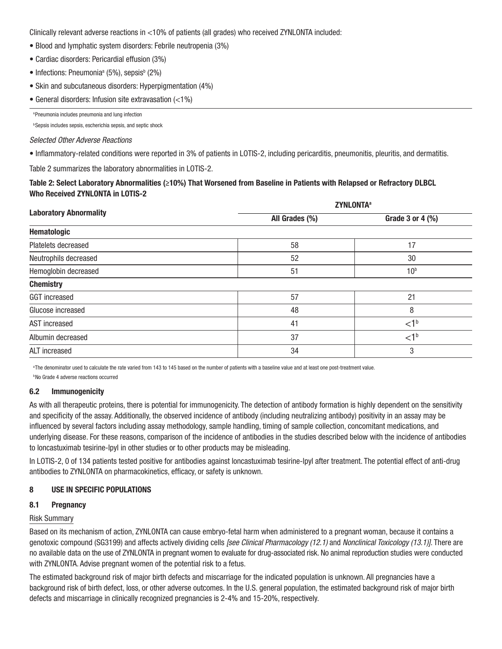Clinically relevant adverse reactions in <10% of patients (all grades) who received ZYNLONTA included:

- Blood and lymphatic system disorders: Febrile neutropenia (3%)
- Cardiac disorders: Pericardial effusion (3%)
- $\bullet$  Infections: Pneumonia<sup>a</sup> (5%), sepsis<sup>b</sup> (2%)
- Skin and subcutaneous disorders: Hyperpigmentation (4%)
- General disorders: Infusion site extravasation (<1%)

a Pneumonia includes pneumonia and lung infection

**b Sepsis includes sepsis, escherichia sepsis, and septic shock** 

#### *Selected Other Adverse Reactions*

• Inflammatory-related conditions were reported in 3% of patients in LOTIS-2, including pericarditis, pneumonitis, pleuritis, and dermatitis.

Table 2 summarizes the laboratory abnormalities in LOTIS-2.

### Table 2: Select Laboratory Abnormalities (≥10%) That Worsened from Baseline in Patients with Relapsed or Refractory DLBCL Who Received ZYNLONTA in LOTIS-2

|                               | <b>ZYNLONTA<sup>a</sup></b> |                  |  |
|-------------------------------|-----------------------------|------------------|--|
| <b>Laboratory Abnormality</b> | All Grades (%)              | Grade 3 or 4 (%) |  |
| Hematologic                   |                             |                  |  |
| Platelets decreased           | 58                          | 17               |  |
| Neutrophils decreased         | 52                          | 30               |  |
| Hemoglobin decreased          | 51                          | 10 <sup>b</sup>  |  |
| <b>Chemistry</b>              |                             |                  |  |
| <b>GGT</b> increased          | 57                          | 21               |  |
| Glucose increased             | 48                          | 8                |  |
| AST increased                 | 41                          | $<$ 1 $<$        |  |
| Albumin decreased             | 37                          | <1 <sup>b</sup>  |  |
| ALT increased                 | 34                          | 3                |  |

<sup>a</sup>The denominator used to calculate the rate varied from 143 to 145 based on the number of patients with a baseline value and at least one post-treatment value.

b No Grade 4 adverse reactions occurred

#### 6.2 Immunogenicity

As with all therapeutic proteins, there is potential for immunogenicity. The detection of antibody formation is highly dependent on the sensitivity and specificity of the assay. Additionally, the observed incidence of antibody (including neutralizing antibody) positivity in an assay may be influenced by several factors including assay methodology, sample handling, timing of sample collection, concomitant medications, and underlying disease. For these reasons, comparison of the incidence of antibodies in the studies described below with the incidence of antibodies to loncastuximab tesirine-lpyl in other studies or to other products may be misleading.

In LOTIS-2, 0 of 134 patients tested positive for antibodies against loncastuximab tesirine-lpyl after treatment. The potential effect of anti-drug antibodies to ZYNLONTA on pharmacokinetics, efficacy, or safety is unknown.

### 8 USE IN SPECIFIC POPULATIONS

#### 8.1 Pregnancy

#### Risk Summary

Based on its mechanism of action, ZYNLONTA can cause embryo-fetal harm when administered to a pregnant woman, because it contains a genotoxic compound (SG3199) and affects actively dividing cells *[see Clinical Pharmacology (12.1)* and *Nonclinical Toxicology (13.1)]*. There are no available data on the use of ZYNLONTA in pregnant women to evaluate for drug-associated risk. No animal reproduction studies were conducted with ZYNLONTA. Advise pregnant women of the potential risk to a fetus.

The estimated background risk of major birth defects and miscarriage for the indicated population is unknown. All pregnancies have a background risk of birth defect, loss, or other adverse outcomes. In the U.S. general population, the estimated background risk of major birth defects and miscarriage in clinically recognized pregnancies is 2-4% and 15-20%, respectively.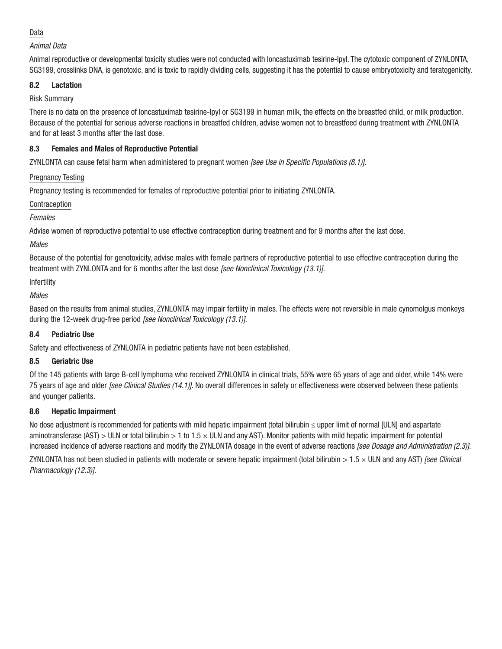## Data

## *Animal Data*

Animal reproductive or developmental toxicity studies were not conducted with loncastuximab tesirine-lpyl. The cytotoxic component of ZYNLONTA, SG3199, crosslinks DNA, is genotoxic, and is toxic to rapidly dividing cells, suggesting it has the potential to cause embryotoxicity and teratogenicity.

## 8.2 Lactation

## Risk Summary

There is no data on the presence of loncastuximab tesirine-lpyl or SG3199 in human milk, the effects on the breastfed child, or milk production. Because of the potential for serious adverse reactions in breastfed children, advise women not to breastfeed during treatment with ZYNLONTA and for at least 3 months after the last dose.

## 8.3 Females and Males of Reproductive Potential

ZYNLONTA can cause fetal harm when administered to pregnant women *[see Use in Specific Populations (8.1)]*.

## Pregnancy Testing

Pregnancy testing is recommended for females of reproductive potential prior to initiating ZYNLONTA.

## Contraception

## *Females*

Advise women of reproductive potential to use effective contraception during treatment and for 9 months after the last dose.

## *Males*

Because of the potential for genotoxicity, advise males with female partners of reproductive potential to use effective contraception during the treatment with ZYNLONTA and for 6 months after the last dose *[see Nonclinical Toxicology (13.1)]*.

### Infertility

## *Males*

Based on the results from animal studies, ZYNLONTA may impair fertility in males. The effects were not reversible in male cynomolgus monkeys during the 12-week drug-free period *[see Nonclinical Toxicology (13.1)]*.

### 8.4 Pediatric Use

Safety and effectiveness of ZYNLONTA in pediatric patients have not been established.

### 8.5 Geriatric Use

Of the 145 patients with large B-cell lymphoma who received ZYNLONTA in clinical trials, 55% were 65 years of age and older, while 14% were 75 years of age and older *[see Clinical Studies (14.1)]*. No overall differences in safety or effectiveness were observed between these patients and younger patients.

## 8.6 Hepatic Impairment

No dose adjustment is recommended for patients with mild hepatic impairment (total bilirubin ≤ upper limit of normal [ULN] and aspartate aminotransferase (AST) > ULN or total bilirubin > 1 to 1.5  $\times$  ULN and any AST). Monitor patients with mild hepatic impairment for potential increased incidence of adverse reactions and modify the ZYNLONTA dosage in the event of adverse reactions *[see Dosage and Administration (2.3)]*. ZYNLONTA has not been studied in patients with moderate or severe hepatic impairment (total bilirubin > 1.5 × ULN and any AST) *[see Clinical Pharmacology (12.3)]*.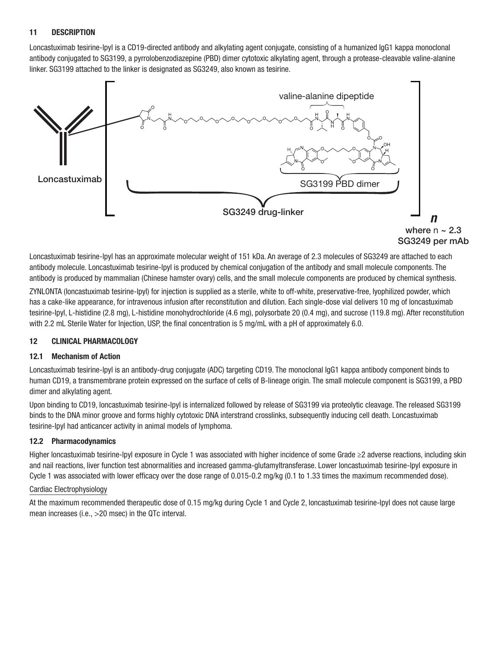#### 11 DESCRIPTION

Loncastuximab tesirine-lpyl is a CD19-directed antibody and alkylating agent conjugate, consisting of a humanized IgG1 kappa monoclonal antibody conjugated to SG3199, a pyrrolobenzodiazepine (PBD) dimer cytotoxic alkylating agent, through a protease-cleavable valine-alanine linker. SG3199 attached to the linker is designated as SG3249, also known as tesirine.



Loncastuximab tesirine-lpyl has an approximate molecular weight of 151 kDa. An average of 2.3 molecules of SG3249 are attached to each antibody molecule. Loncastuximab tesirine-lpyl is produced by chemical conjugation of the antibody and small molecule components. The antibody is produced by mammalian (Chinese hamster ovary) cells, and the small molecule components are produced by chemical synthesis.

ZYNLONTA (loncastuximab tesirine-lpyl) for injection is supplied as a sterile, white to off-white, preservative-free, lyophilized powder, which has a cake-like appearance, for intravenous infusion after reconstitution and dilution. Each single-dose vial delivers 10 mg of loncastuximab tesirine-lpyl, L-histidine (2.8 mg), L-histidine monohydrochloride (4.6 mg), polysorbate 20 (0.4 mg), and sucrose (119.8 mg). After reconstitution with 2.2 mL Sterile Water for Injection, USP, the final concentration is 5 mg/mL with a pH of approximately 6.0.

#### 12 CLINICAL PHARMACOLOGY

#### 12.1 Mechanism of Action

Loncastuximab tesirine-lpyl is an antibody-drug conjugate (ADC) targeting CD19. The monoclonal IgG1 kappa antibody component binds to human CD19, a transmembrane protein expressed on the surface of cells of B-lineage origin. The small molecule component is SG3199, a PBD dimer and alkylating agent.

Upon binding to CD19, loncastuximab tesirine-lpyl is internalized followed by release of SG3199 via proteolytic cleavage. The released SG3199 binds to the DNA minor groove and forms highly cytotoxic DNA interstrand crosslinks, subsequently inducing cell death. Loncastuximab tesirine-lpyl had anticancer activity in animal models of lymphoma.

### 12.2 Pharmacodynamics

Higher loncastuximab tesirine-lpyl exposure in Cycle 1 was associated with higher incidence of some Grade ≥2 adverse reactions, including skin and nail reactions, liver function test abnormalities and increased gamma-glutamyltransferase. Lower loncastuximab tesirine-lpyl exposure in Cycle 1 was associated with lower efficacy over the dose range of 0.015-0.2 mg/kg (0.1 to 1.33 times the maximum recommended dose).

### Cardiac Electrophysiology

At the maximum recommended therapeutic dose of 0.15 mg/kg during Cycle 1 and Cycle 2, loncastuximab tesirine-lpyl does not cause large mean increases (i.e., >20 msec) in the QTc interval.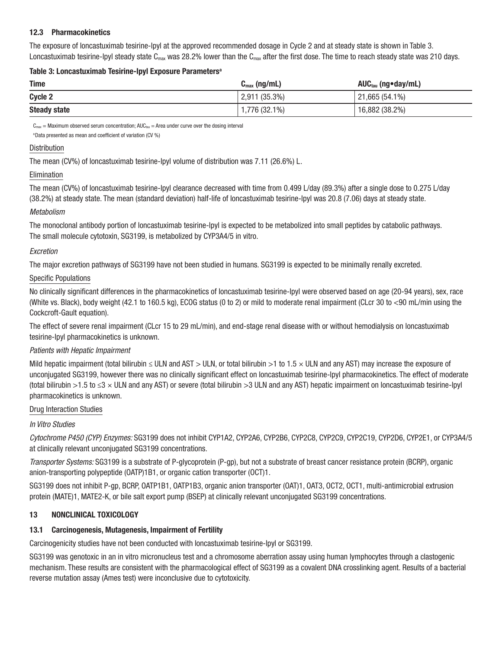#### 12.3 Pharmacokinetics

The exposure of loncastuximab tesirine-lpyl at the approved recommended dosage in Cycle 2 and at steady state is shown in Table 3. Loncastuximab tesirine-lpyl steady state C<sub>max</sub> was 28.2% lower than the C<sub>max</sub> after the first dose. The time to reach steady state was 210 days.

#### Table 3: Loncastuximab Tesirine-Ipyl Exposure Parameters<sup>a</sup>

| <b>Time</b>         | $C_{\text{max}}$ (ng/mL) | AUC <sub>tau</sub> (ng●day/mL) |
|---------------------|--------------------------|--------------------------------|
| Cycle 2             | $2,911(35.3\%)$          | $121,665(54.1\%)$              |
| <b>Steady state</b> | 1,776 (32.1%)            | 16,882(38.2%)                  |

 $C_{\text{max}}$  = Maximum observed serum concentration; AUC $_{\text{tau}}$  = Area under curve over the dosing interval

a Data presented as mean and coefficient of variation (CV %)

#### Distribution

The mean (CV%) of loncastuximab tesirine-lpyl volume of distribution was 7.11 (26.6%) L.

#### Elimination

The mean (CV%) of loncastuximab tesirine-lpyl clearance decreased with time from 0.499 L/day (89.3%) after a single dose to 0.275 L/day (38.2%) at steady state. The mean (standard deviation) half-life of loncastuximab tesirine-lpyl was 20.8 (7.06) days at steady state.

#### *Metabolism*

The monoclonal antibody portion of loncastuximab tesirine-lpyl is expected to be metabolized into small peptides by catabolic pathways. The small molecule cytotoxin, SG3199, is metabolized by CYP3A4/5 in vitro.

#### *Excretion*

The major excretion pathways of SG3199 have not been studied in humans. SG3199 is expected to be minimally renally excreted.

#### Specific Populations

No clinically significant differences in the pharmacokinetics of loncastuximab tesirine-lpyl were observed based on age (20-94 years), sex, race (White vs. Black), body weight (42.1 to 160.5 kg), ECOG status (0 to 2) or mild to moderate renal impairment (CLcr 30 to <90 mL/min using the Cockcroft-Gault equation).

The effect of severe renal impairment (CLcr 15 to 29 mL/min), and end-stage renal disease with or without hemodialysis on loncastuximab tesirine-lpyl pharmacokinetics is unknown.

#### *Patients with Hepatic Impairment*

Mild hepatic impairment (total bilirubin  $\leq$  ULN and AST  $>$  ULN, or total bilirubin  $>$ 1 to 1.5  $\times$  ULN and any AST) may increase the exposure of unconjugated SG3199, however there was no clinically significant effect on loncastuximab tesirine-lpyl pharmacokinetics. The effect of moderate (total bilirubin >1.5 to ≤3 × ULN and any AST) or severe (total bilirubin >3 ULN and any AST) hepatic impairment on loncastuximab tesirine-lpyl pharmacokinetics is unknown.

#### Drug Interaction Studies

### *In Vitro Studies*

*Cytochrome P450 (CYP) Enzymes:* SG3199 does not inhibit CYP1A2, CYP2A6, CYP2B6, CYP2C8, CYP2C9, CYP2C19, CYP2D6, CYP2E1, or CYP3A4/5 at clinically relevant unconjugated SG3199 concentrations.

*Transporter Systems:* SG3199 is a substrate of P-glycoprotein (P-gp), but not a substrate of breast cancer resistance protein (BCRP), organic anion-transporting polypeptide (OATP)1B1, or organic cation transporter (OCT)1.

SG3199 does not inhibit P-gp, BCRP, OATP1B1, OATP1B3, organic anion transporter (OAT)1, OAT3, OCT2, OCT1, multi-antimicrobial extrusion protein (MATE)1, MATE2-K, or bile salt export pump (BSEP) at clinically relevant unconjugated SG3199 concentrations.

### 13 NONCLINICAL TOXICOLOGY

### 13.1 Carcinogenesis, Mutagenesis, Impairment of Fertility

Carcinogenicity studies have not been conducted with loncastuximab tesirine-lpyl or SG3199.

SG3199 was genotoxic in an in vitro micronucleus test and a chromosome aberration assay using human lymphocytes through a clastogenic mechanism. These results are consistent with the pharmacological effect of SG3199 as a covalent DNA crosslinking agent. Results of a bacterial reverse mutation assay (Ames test) were inconclusive due to cytotoxicity.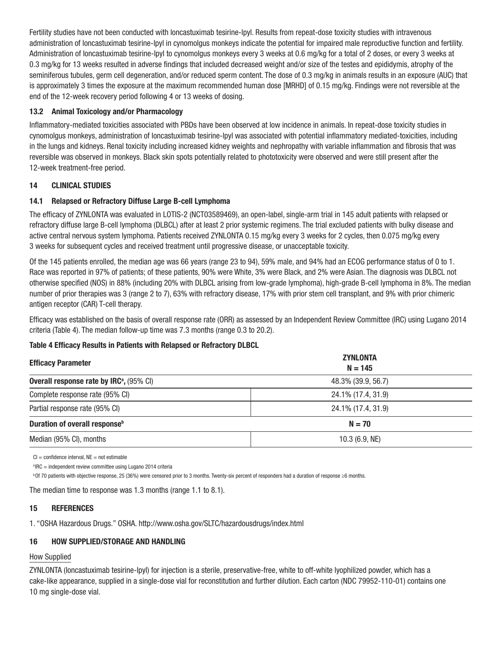Fertility studies have not been conducted with loncastuximab tesirine-lpyl. Results from repeat-dose toxicity studies with intravenous administration of loncastuximab tesirine-lpyl in cynomolgus monkeys indicate the potential for impaired male reproductive function and fertility. Administration of loncastuximab tesirine-lpyl to cynomolgus monkeys every 3 weeks at 0.6 mg/kg for a total of 2 doses, or every 3 weeks at 0.3 mg/kg for 13 weeks resulted in adverse findings that included decreased weight and/or size of the testes and epididymis, atrophy of the seminiferous tubules, germ cell degeneration, and/or reduced sperm content. The dose of 0.3 mg/kg in animals results in an exposure (AUC) that is approximately 3 times the exposure at the maximum recommended human dose [MRHD] of 0.15 mg/kg. Findings were not reversible at the end of the 12-week recovery period following 4 or 13 weeks of dosing.

### 13.2 Animal Toxicology and/or Pharmacology

Inflammatory-mediated toxicities associated with PBDs have been observed at low incidence in animals. In repeat-dose toxicity studies in cynomolgus monkeys, administration of loncastuximab tesirine-lpyl was associated with potential inflammatory mediated-toxicities, including in the lungs and kidneys. Renal toxicity including increased kidney weights and nephropathy with variable inflammation and fibrosis that was reversible was observed in monkeys. Black skin spots potentially related to phototoxicity were observed and were still present after the 12-week treatment-free period.

### 14 CLINICAL STUDIES

## 14.1 Relapsed or Refractory Diffuse Large B-cell Lymphoma

The efficacy of ZYNLONTA was evaluated in LOTIS-2 (NCT03589469), an open-label, single-arm trial in 145 adult patients with relapsed or refractory diffuse large B-cell lymphoma (DLBCL) after at least 2 prior systemic regimens. The trial excluded patients with bulky disease and active central nervous system lymphoma. Patients received ZYNLONTA 0.15 mg/kg every 3 weeks for 2 cycles, then 0.075 mg/kg every 3 weeks for subsequent cycles and received treatment until progressive disease, or unacceptable toxicity.

Of the 145 patients enrolled, the median age was 66 years (range 23 to 94), 59% male, and 94% had an ECOG performance status of 0 to 1. Race was reported in 97% of patients; of these patients, 90% were White, 3% were Black, and 2% were Asian. The diagnosis was DLBCL not otherwise specified (NOS) in 88% (including 20% with DLBCL arising from low-grade lymphoma), high-grade B-cell lymphoma in 8%. The median number of prior therapies was 3 (range 2 to 7), 63% with refractory disease, 17% with prior stem cell transplant, and 9% with prior chimeric antigen receptor (CAR) T-cell therapy.

Efficacy was established on the basis of overall response rate (ORR) as assessed by an Independent Review Committee (IRC) using Lugano 2014 criteria (Table 4). The median follow-up time was 7.3 months (range 0.3 to 20.2).

### Table 4 Efficacy Results in Patients with Relapsed or Refractory DLBCL

| <b>Efficacy Parameter</b>                                 | <b>ZYNLONTA</b><br>$N = 145$<br>48.3% (39.9, 56.7) |  |
|-----------------------------------------------------------|----------------------------------------------------|--|
| <b>Overall response rate by IRC<sup>a</sup>, (95% CI)</b> |                                                    |  |
| Complete response rate (95% CI)                           | 24.1% (17.4, 31.9)                                 |  |
| Partial response rate (95% CI)                            | 24.1% (17.4, 31.9)                                 |  |
| Duration of overall response <sup>b</sup>                 | $N = 70$                                           |  |
| Median (95% CI), months                                   | $10.3$ (6.9, NE)                                   |  |

 $Cl =$  confidence interval,  $NE =$  not estimable

<sup>a</sup> IRC = independent review committee using Lugano 2014 criteria

b Of 70 patients with objective response, 25 (36%) were censored prior to 3 months. Twenty-six percent of responders had a duration of response ≥6 months.

The median time to response was 1.3 months (range 1.1 to 8.1).

### 15 REFERENCES

1. "OSHA Hazardous Drugs." OSHA. http://www.osha.gov/SLTC/hazardousdrugs/index.html

## 16 HOW SUPPLIED/STORAGE AND HANDLING

### How Supplied

ZYNLONTA (loncastuximab tesirine-lpyl) for injection is a sterile, preservative-free, white to off-white lyophilized powder, which has a cake-like appearance, supplied in a single-dose vial for reconstitution and further dilution. Each carton (NDC 79952-110-01) contains one 10 mg single-dose vial.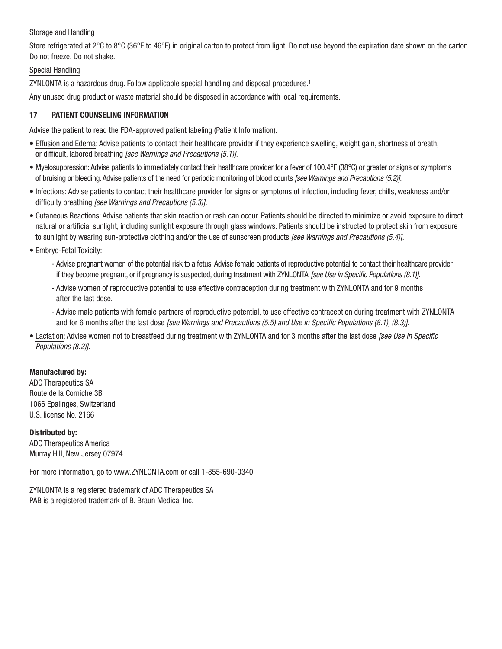#### Storage and Handling

Store refrigerated at 2°C to 8°C (36°F to 46°F) in original carton to protect from light. Do not use beyond the expiration date shown on the carton. Do not freeze. Do not shake.

## Special Handling

ZYNLONTA is a hazardous drug. Follow applicable special handling and disposal procedures.<sup>1</sup>

Any unused drug product or waste material should be disposed in accordance with local requirements.

## 17 PATIENT COUNSELING INFORMATION

Advise the patient to read the FDA-approved patient labeling (Patient Information).

- Effusion and Edema: Advise patients to contact their healthcare provider if they experience swelling, weight gain, shortness of breath, or difficult, labored breathing *[see Warnings and Precautions (5.1)]*.
- Myelosuppression: Advise patients to immediately contact their healthcare provider for a fever of 100.4°F (38°C) or greater or signs or symptoms of bruising or bleeding. Advise patients of the need for periodic monitoring of blood counts *[see Warnings and Precautions (5.2)]*.
- Infections: Advise patients to contact their healthcare provider for signs or symptoms of infection, including fever, chills, weakness and/or difficulty breathing *[see Warnings and Precautions (5.3)].*
- Cutaneous Reactions: Advise patients that skin reaction or rash can occur. Patients should be directed to minimize or avoid exposure to direct natural or artificial sunlight, including sunlight exposure through glass windows. Patients should be instructed to protect skin from exposure to sunlight by wearing sun-protective clothing and/or the use of sunscreen products *[see Warnings and Precautions (5.4)]*.
- Embryo-Fetal Toxicity:
	- Advise pregnant women of the potential risk to a fetus. Advise female patients of reproductive potential to contact their healthcare provider if they become pregnant, or if pregnancy is suspected, during treatment with ZYNLONTA *[see Use in Specific Populations (8.1)]*.
	- Advise women of reproductive potential to use effective contraception during treatment with ZYNLONTA and for 9 months after the last dose.
	- Advise male patients with female partners of reproductive potential, to use effective contraception during treatment with ZYNLONTA and for 6 months after the last dose *[see Warnings and Precautions (5.5) and Use in Specific Populations (8.1), (8.3)]*.
- Lactation: Advise women not to breastfeed during treatment with ZYNLONTA and for 3 months after the last dose *[see Use in Specific Populations (8.2)]*.

### Manufactured by:

ADC Therapeutics SA Route de la Corniche 3B 1066 Epalinges, Switzerland U.S. license No. 2166

Distributed by: ADC Therapeutics America Murray Hill, New Jersey 07974

For more information, go to www.ZYNLONTA.com or call 1-855-690-0340

ZYNLONTA is a registered trademark of ADC Therapeutics SA PAB is a registered trademark of B. Braun Medical Inc.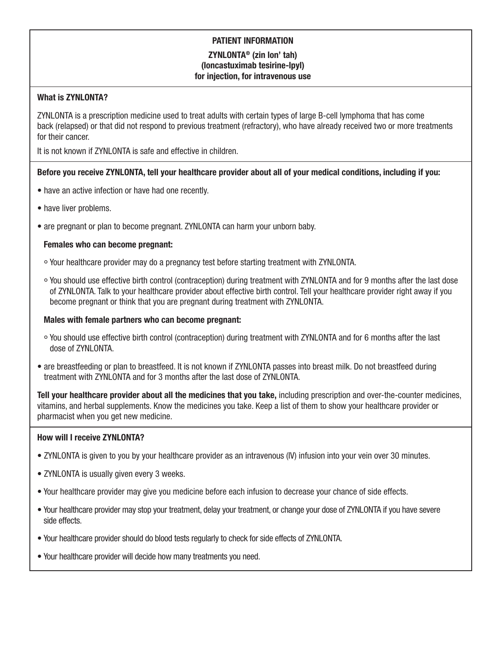# PATIENT INFORMATION ZYNLONTA® (zin lon' tah) (loncastuximab tesirine-lpyl) for injection, for intravenous use

## What is ZYNLONTA?

ZYNLONTA is a prescription medicine used to treat adults with certain types of large B-cell lymphoma that has come back (relapsed) or that did not respond to previous treatment (refractory), who have already received two or more treatments for their cancer.

It is not known if ZYNLONTA is safe and effective in children.

## Before you receive ZYNLONTA, tell your healthcare provider about all of your medical conditions, including if you:

- have an active infection or have had one recently.
- have liver problems.
- are pregnant or plan to become pregnant. ZYNLONTA can harm your unborn baby.

### Females who can become pregnant:

- ° Your healthcare provider may do a pregnancy test before starting treatment with ZYNLONTA.
- ° You should use effective birth control (contraception) during treatment with ZYNLONTA and for 9 months after the last dose of ZYNLONTA. Talk to your healthcare provider about effective birth control. Tell your healthcare provider right away if you become pregnant or think that you are pregnant during treatment with ZYNLONTA.

### Males with female partners who can become pregnant:

- ° You should use effective birth control (contraception) during treatment with ZYNLONTA and for 6 months after the last dose of ZYNLONTA.
- are breastfeeding or plan to breastfeed. It is not known if ZYNLONTA passes into breast milk. Do not breastfeed during treatment with ZYNLONTA and for 3 months after the last dose of ZYNLONTA.

Tell your healthcare provider about all the medicines that you take, including prescription and over-the-counter medicines, vitamins, and herbal supplements. Know the medicines you take. Keep a list of them to show your healthcare provider or pharmacist when you get new medicine.

### How will I receive ZYNLONTA?

- ZYNLONTA is given to you by your healthcare provider as an intravenous (IV) infusion into your vein over 30 minutes.
- ZYNLONTA is usually given every 3 weeks.
- Your healthcare provider may give you medicine before each infusion to decrease your chance of side effects.
- Your healthcare provider may stop your treatment, delay your treatment, or change your dose of ZYNLONTA if you have severe side effects.
- Your healthcare provider should do blood tests regularly to check for side effects of ZYNLONTA.
- Your healthcare provider will decide how many treatments you need.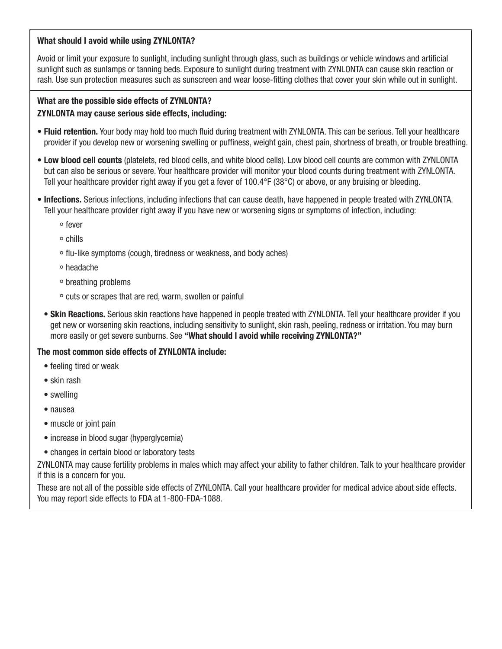## What should I avoid while using ZYNLONTA?

Avoid or limit your exposure to sunlight, including sunlight through glass, such as buildings or vehicle windows and artificial sunlight such as sunlamps or tanning beds. Exposure to sunlight during treatment with ZYNLONTA can cause skin reaction or rash. Use sun protection measures such as sunscreen and wear loose-fitting clothes that cover your skin while out in sunlight.

# What are the possible side effects of ZYNLONTA? ZYNLONTA may cause serious side effects, including:

- Fluid retention. Your body may hold too much fluid during treatment with ZYNLONTA. This can be serious. Tell your healthcare provider if you develop new or worsening swelling or puffiness, weight gain, chest pain, shortness of breath, or trouble breathing.
- Low blood cell counts (platelets, red blood cells, and white blood cells). Low blood cell counts are common with ZYNLONTA but can also be serious or severe. Your healthcare provider will monitor your blood counts during treatment with ZYNLONTA. Tell your healthcare provider right away if you get a fever of 100.4°F (38°C) or above, or any bruising or bleeding.
- Infections. Serious infections, including infections that can cause death, have happened in people treated with ZYNLONTA. Tell your healthcare provider right away if you have new or worsening signs or symptoms of infection, including:
	- ° fever
	- ° chills
	- ° flu-like symptoms (cough, tiredness or weakness, and body aches)
	- ° headache
	- ° breathing problems
	- ° cuts or scrapes that are red, warm, swollen or painful
	- Skin Reactions. Serious skin reactions have happened in people treated with ZYNLONTA. Tell your healthcare provider if you get new or worsening skin reactions, including sensitivity to sunlight, skin rash, peeling, redness or irritation. You may burn more easily or get severe sunburns. See "What should I avoid while receiving ZYNLONTA?"

## The most common side effects of ZYNLONTA include:

- feeling tired or weak
- skin rash
- swelling
- nausea
- muscle or joint pain
- increase in blood sugar (hyperglycemia)
- changes in certain blood or laboratory tests

ZYNLONTA may cause fertility problems in males which may affect your ability to father children. Talk to your healthcare provider if this is a concern for you.

These are not all of the possible side effects of ZYNLONTA. Call your healthcare provider for medical advice about side effects. You may report side effects to FDA at 1-800-FDA-1088.